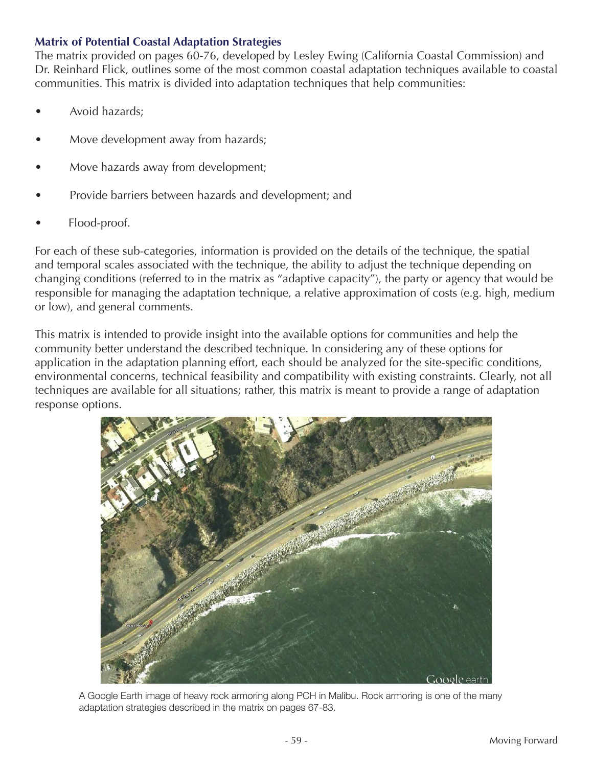#### **Matrix of Potential Coastal Adaptation Strategies**

The matrix provided on pages 60-76, developed by Lesley Ewing (California Coastal Commission) and Dr. Reinhard Flick, outlines some of the most common coastal adaptation techniques available to coastal communities. This matrix is divided into adaptation techniques that help communities:

- Avoid hazards;
- Move development away from hazards;
- Move hazards away from development;
- Provide barriers between hazards and development; and
- Flood-proof.

For each of these sub-categories, information is provided on the details of the technique, the spatial and temporal scales associated with the technique, the ability to adjust the technique depending on changing conditions (referred to in the matrix as "adaptive capacity"), the party or agency that would be responsible for managing the adaptation technique, a relative approximation of costs (e.g. high, medium or low), and general comments.

This matrix is intended to provide insight into the available options for communities and help the community better understand the described technique. In considering any of these options for application in the adaptation planning effort, each should be analyzed for the site-specific conditions, environmental concerns, technical feasibility and compatibility with existing constraints. Clearly, not all techniques are available for all situations; rather, this matrix is meant to provide a range of adaptation response options.



A Google Earth image of heavy rock armoring along PCH in Malibu. Rock armoring is one of the many adaptation strategies described in the matrix on pages 67-83.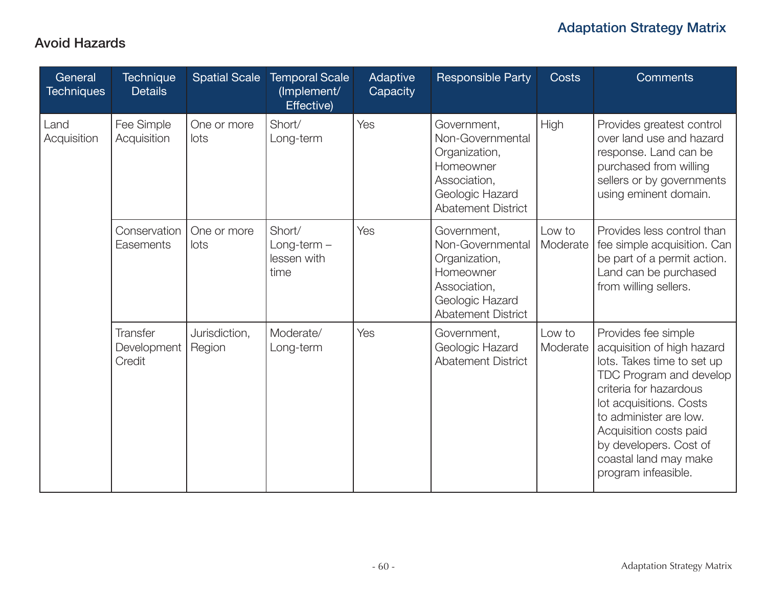#### Avoid Hazards

| General<br><b>Techniques</b> | <b>Technique</b><br><b>Details</b>       | <b>Spatial Scale</b>    | <b>Temporal Scale</b><br>(Implement/<br>Effective) | Adaptive<br>Capacity | <b>Responsible Party</b>                                                                                                      | Costs              | <b>Comments</b>                                                                                                                                                                                                                                                                               |
|------------------------------|------------------------------------------|-------------------------|----------------------------------------------------|----------------------|-------------------------------------------------------------------------------------------------------------------------------|--------------------|-----------------------------------------------------------------------------------------------------------------------------------------------------------------------------------------------------------------------------------------------------------------------------------------------|
| Land<br>Acquisition          | Fee Simple<br>Acquisition                | One or more<br>lots     | Short/<br>Long-term                                | Yes                  | Government,<br>Non-Governmental<br>Organization,<br>Homeowner<br>Association,<br>Geologic Hazard<br><b>Abatement District</b> | High               | Provides greatest control<br>over land use and hazard<br>response. Land can be<br>purchased from willing<br>sellers or by governments<br>using eminent domain.                                                                                                                                |
|                              | Conservation<br>Easements                | One or more<br>lots     | Short/<br>$Long-term -$<br>lessen with<br>time     | Yes                  | Government,<br>Non-Governmental<br>Organization,<br>Homeowner<br>Association,<br>Geologic Hazard<br><b>Abatement District</b> | Low to<br>Moderate | Provides less control than<br>fee simple acquisition. Can<br>be part of a permit action.<br>Land can be purchased<br>from willing sellers.                                                                                                                                                    |
|                              | <b>Transfer</b><br>Development<br>Credit | Jurisdiction,<br>Region | Moderate/<br>Long-term                             | Yes                  | Government,<br>Geologic Hazard<br><b>Abatement District</b>                                                                   | Low to<br>Moderate | Provides fee simple<br>acquisition of high hazard<br>lots. Takes time to set up<br>TDC Program and develop<br>criteria for hazardous<br>lot acquisitions. Costs<br>to administer are low.<br>Acquisition costs paid<br>by developers. Cost of<br>coastal land may make<br>program infeasible. |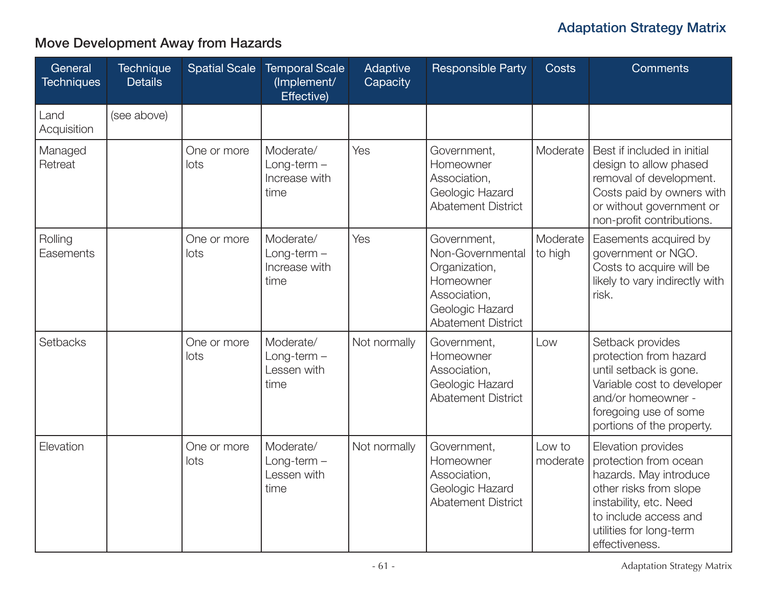## Move Development Away from Hazards

| General<br><b>Techniques</b> | <b>Technique</b><br><b>Details</b> | <b>Spatial Scale</b> | <b>Temporal Scale</b><br>(Implement/<br>Effective)  | Adaptive<br>Capacity | <b>Responsible Party</b>                                                                                                      | <b>Costs</b>        | <b>Comments</b>                                                                                                                                                                                 |
|------------------------------|------------------------------------|----------------------|-----------------------------------------------------|----------------------|-------------------------------------------------------------------------------------------------------------------------------|---------------------|-------------------------------------------------------------------------------------------------------------------------------------------------------------------------------------------------|
| Land<br>Acquisition          | (see above)                        |                      |                                                     |                      |                                                                                                                               |                     |                                                                                                                                                                                                 |
| Managed<br>Retreat           |                                    | One or more<br>lots  | Moderate/<br>$Long-term -$<br>Increase with<br>time | Yes                  | Government,<br>Homeowner<br>Association,<br>Geologic Hazard<br><b>Abatement District</b>                                      | Moderate            | Best if included in initial<br>design to allow phased<br>removal of development.<br>Costs paid by owners with<br>or without government or<br>non-profit contributions.                          |
| Rolling<br>Easements         |                                    | One or more<br>lots  | Moderate/<br>$Long-term -$<br>Increase with<br>time | Yes                  | Government,<br>Non-Governmental<br>Organization,<br>Homeowner<br>Association,<br>Geologic Hazard<br><b>Abatement District</b> | Moderate<br>to high | Easements acquired by<br>government or NGO.<br>Costs to acquire will be<br>likely to vary indirectly with<br>risk.                                                                              |
| Setbacks                     |                                    | One or more<br>lots  | Moderate/<br>$Long-term -$<br>Lessen with<br>time   | Not normally         | Government,<br>Homeowner<br>Association,<br>Geologic Hazard<br><b>Abatement District</b>                                      | Low                 | Setback provides<br>protection from hazard<br>until setback is gone.<br>Variable cost to developer<br>and/or homeowner -<br>foregoing use of some<br>portions of the property.                  |
| Elevation                    |                                    | One or more<br>lots  | Moderate/<br>$Long-term -$<br>Lessen with<br>time   | Not normally         | Government,<br>Homeowner<br>Association,<br>Geologic Hazard<br><b>Abatement District</b>                                      | Low to<br>moderate  | Elevation provides<br>protection from ocean<br>hazards. May introduce<br>other risks from slope<br>instability, etc. Need<br>to include access and<br>utilities for long-term<br>effectiveness. |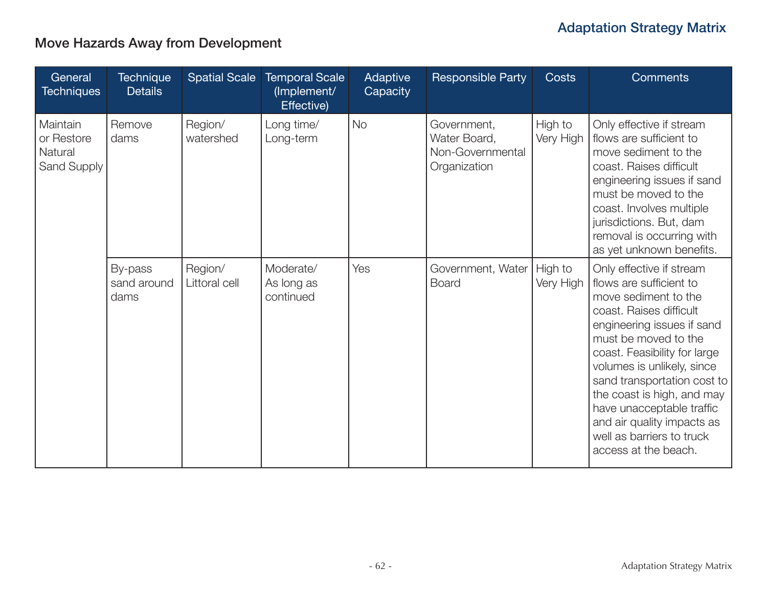## Move Hazards Away from Development

| General<br><b>Techniques</b>                     | <b>Technique</b><br><b>Details</b> | <b>Spatial Scale</b>     | <b>Temporal Scale</b><br>(Implement/<br>Effective) | Adaptive<br>Capacity | <b>Responsible Party</b>                                        | <b>Costs</b>         | <b>Comments</b>                                                                                                                                                                                                                                                                                                                                                                                         |
|--------------------------------------------------|------------------------------------|--------------------------|----------------------------------------------------|----------------------|-----------------------------------------------------------------|----------------------|---------------------------------------------------------------------------------------------------------------------------------------------------------------------------------------------------------------------------------------------------------------------------------------------------------------------------------------------------------------------------------------------------------|
| Maintain<br>or Restore<br>Natural<br>Sand Supply | Remove<br>dams                     | Region/<br>watershed     | Long time/<br>Long-term                            | <b>No</b>            | Government,<br>Water Board,<br>Non-Governmental<br>Organization | High to<br>Very High | Only effective if stream<br>flows are sufficient to<br>move sediment to the<br>coast. Raises difficult<br>engineering issues if sand<br>must be moved to the<br>coast. Involves multiple<br>jurisdictions. But, dam<br>removal is occurring with<br>as yet unknown benefits.                                                                                                                            |
|                                                  | By-pass<br>sand around<br>dams     | Region/<br>Littoral cell | Moderate/<br>As long as<br>continued               | Yes                  | Government, Water<br><b>Board</b>                               | High to<br>Very High | Only effective if stream<br>flows are sufficient to<br>move sediment to the<br>coast. Raises difficult<br>engineering issues if sand<br>must be moved to the<br>coast. Feasibility for large<br>volumes is unlikely, since<br>sand transportation cost to<br>the coast is high, and may<br>have unacceptable traffic<br>and air quality impacts as<br>well as barriers to truck<br>access at the beach. |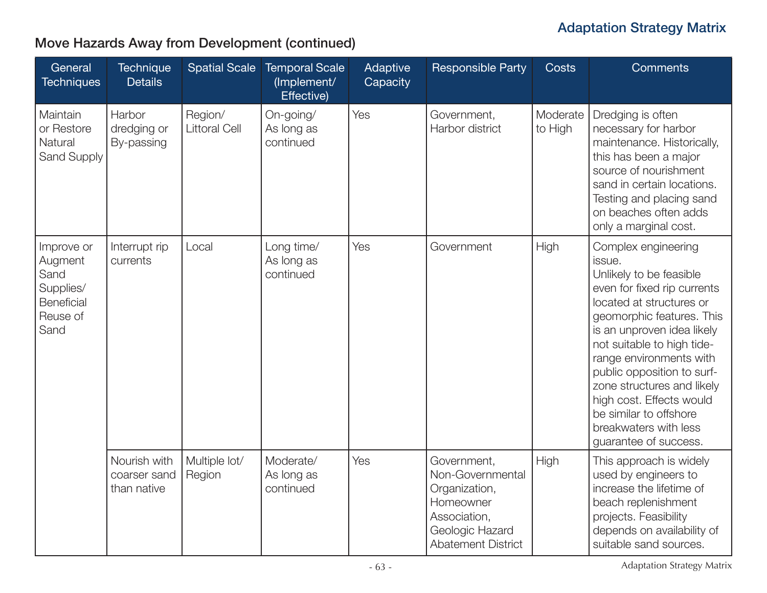| General<br><b>Techniques</b>                                                        | Technique<br><b>Details</b>                 | <b>Spatial Scale</b>            | <b>Temporal Scale</b><br>(Implement/<br>Effective) | Adaptive<br>Capacity | <b>Responsible Party</b>                                                                                                      | <b>Costs</b>        | <b>Comments</b>                                                                                                                                                                                                                                                                                                                                                                                             |
|-------------------------------------------------------------------------------------|---------------------------------------------|---------------------------------|----------------------------------------------------|----------------------|-------------------------------------------------------------------------------------------------------------------------------|---------------------|-------------------------------------------------------------------------------------------------------------------------------------------------------------------------------------------------------------------------------------------------------------------------------------------------------------------------------------------------------------------------------------------------------------|
| Maintain<br>or Restore<br>Natural<br>Sand Supply                                    | Harbor<br>dredging or<br>By-passing         | Region/<br><b>Littoral Cell</b> | On-going/<br>As long as<br>continued               | Yes                  | Government,<br>Harbor district                                                                                                | Moderate<br>to High | Dredging is often<br>necessary for harbor<br>maintenance. Historically,<br>this has been a major<br>source of nourishment<br>sand in certain locations.<br>Testing and placing sand<br>on beaches often adds<br>only a marginal cost.                                                                                                                                                                       |
| Improve or<br>Augment<br>Sand<br>Supplies/<br><b>Beneficial</b><br>Reuse of<br>Sand | Interrupt rip<br>currents                   | Local                           | Long time/<br>As long as<br>continued              | Yes                  | Government                                                                                                                    | High                | Complex engineering<br>issue.<br>Unlikely to be feasible<br>even for fixed rip currents<br>located at structures or<br>geomorphic features. This<br>is an unproven idea likely<br>not suitable to high tide-<br>range environments with<br>public opposition to surf-<br>zone structures and likely<br>high cost. Effects would<br>be similar to offshore<br>breakwaters with less<br>guarantee of success. |
|                                                                                     | Nourish with<br>coarser sand<br>than native | Multiple lot/<br>Region         | Moderate/<br>As long as<br>continued               | Yes                  | Government,<br>Non-Governmental<br>Organization,<br>Homeowner<br>Association,<br>Geologic Hazard<br><b>Abatement District</b> | High                | This approach is widely<br>used by engineers to<br>increase the lifetime of<br>beach replenishment<br>projects. Feasibility<br>depends on availability of<br>suitable sand sources.                                                                                                                                                                                                                         |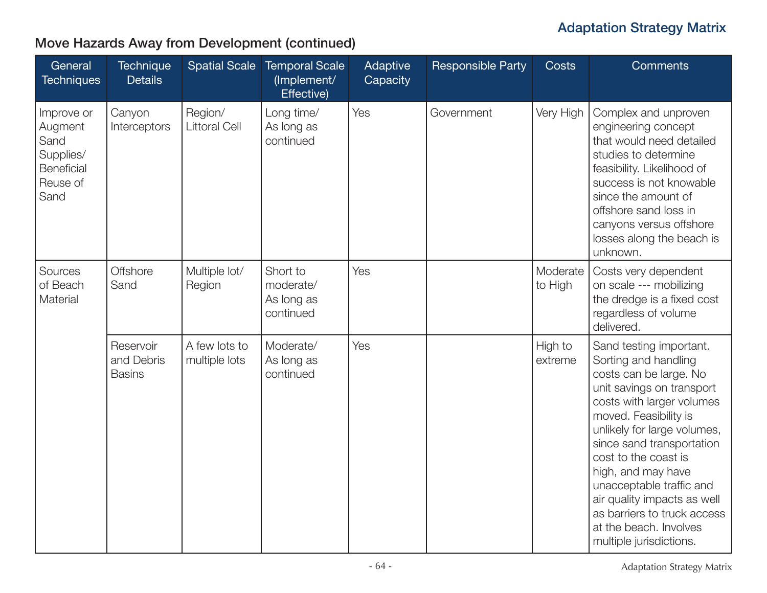| General<br><b>Techniques</b>                                                 | <b>Technique</b><br><b>Details</b>       | <b>Spatial Scale</b>            | <b>Temporal Scale</b><br>(Implement/<br>Effective) | Adaptive<br>Capacity | <b>Responsible Party</b> | <b>Costs</b>        | <b>Comments</b>                                                                                                                                                                                                                                                                                                                                                                                                       |
|------------------------------------------------------------------------------|------------------------------------------|---------------------------------|----------------------------------------------------|----------------------|--------------------------|---------------------|-----------------------------------------------------------------------------------------------------------------------------------------------------------------------------------------------------------------------------------------------------------------------------------------------------------------------------------------------------------------------------------------------------------------------|
| Improve or<br>Augment<br>Sand<br>Supplies/<br>Beneficial<br>Reuse of<br>Sand | Canyon<br>Interceptors                   | Region/<br><b>Littoral Cell</b> | Long time/<br>As long as<br>continued              | Yes                  | Government               | Very High           | Complex and unproven<br>engineering concept<br>that would need detailed<br>studies to determine<br>feasibility. Likelihood of<br>success is not knowable<br>since the amount of<br>offshore sand loss in<br>canyons versus offshore<br>losses along the beach is<br>unknown.                                                                                                                                          |
| Sources<br>of Beach<br>Material                                              | <b>Offshore</b><br>Sand                  | Multiple lot/<br>Region         | Short to<br>moderate/<br>As long as<br>continued   | Yes                  |                          | Moderate<br>to High | Costs very dependent<br>on scale --- mobilizing<br>the dredge is a fixed cost<br>regardless of volume<br>delivered.                                                                                                                                                                                                                                                                                                   |
|                                                                              | Reservoir<br>and Debris<br><b>Basins</b> | A few lots to<br>multiple lots  | Moderate/<br>As long as<br>continued               | Yes                  |                          | High to<br>extreme  | Sand testing important.<br>Sorting and handling<br>costs can be large. No<br>unit savings on transport<br>costs with larger volumes<br>moved. Feasibility is<br>unlikely for large volumes,<br>since sand transportation<br>cost to the coast is<br>high, and may have<br>unacceptable traffic and<br>air quality impacts as well<br>as barriers to truck access<br>at the beach. Involves<br>multiple jurisdictions. |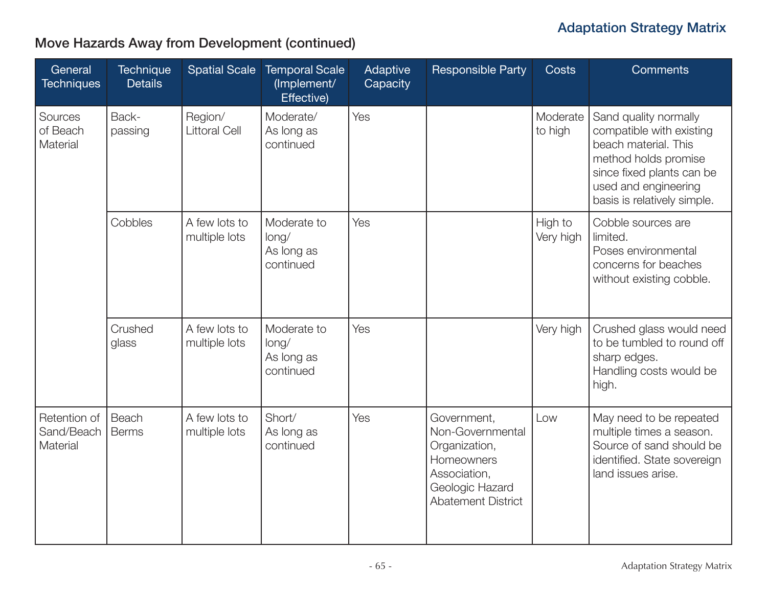| General<br><b>Techniques</b>           | <b>Technique</b><br><b>Details</b> | <b>Spatial Scale</b>            | <b>Temporal Scale</b><br>(Implement/<br>Effective) | Adaptive<br>Capacity | <b>Responsible Party</b>                                                                                                       | <b>Costs</b>         | <b>Comments</b>                                                                                                                                                                       |
|----------------------------------------|------------------------------------|---------------------------------|----------------------------------------------------|----------------------|--------------------------------------------------------------------------------------------------------------------------------|----------------------|---------------------------------------------------------------------------------------------------------------------------------------------------------------------------------------|
| Sources<br>of Beach<br>Material        | Back-<br>passing                   | Region/<br><b>Littoral Cell</b> | Moderate/<br>As long as<br>continued               | Yes                  |                                                                                                                                | Moderate<br>to high  | Sand quality normally<br>compatible with existing<br>beach material. This<br>method holds promise<br>since fixed plants can be<br>used and engineering<br>basis is relatively simple. |
|                                        | Cobbles                            | A few lots to<br>multiple lots  | Moderate to<br>long/<br>As long as<br>continued    | Yes                  |                                                                                                                                | High to<br>Very high | Cobble sources are<br>limited.<br>Poses environmental<br>concerns for beaches<br>without existing cobble.                                                                             |
|                                        | Crushed<br>glass                   | A few lots to<br>multiple lots  | Moderate to<br>long/<br>As long as<br>continued    | Yes                  |                                                                                                                                | Very high            | Crushed glass would need<br>to be tumbled to round off<br>sharp edges.<br>Handling costs would be<br>high.                                                                            |
| Retention of<br>Sand/Beach<br>Material | Beach<br><b>Berms</b>              | A few lots to<br>multiple lots  | Short/<br>As long as<br>continued                  | Yes                  | Government,<br>Non-Governmental<br>Organization,<br>Homeowners<br>Association,<br>Geologic Hazard<br><b>Abatement District</b> | Low                  | May need to be repeated<br>multiple times a season.<br>Source of sand should be<br>identified. State sovereign<br>land issues arise.                                                  |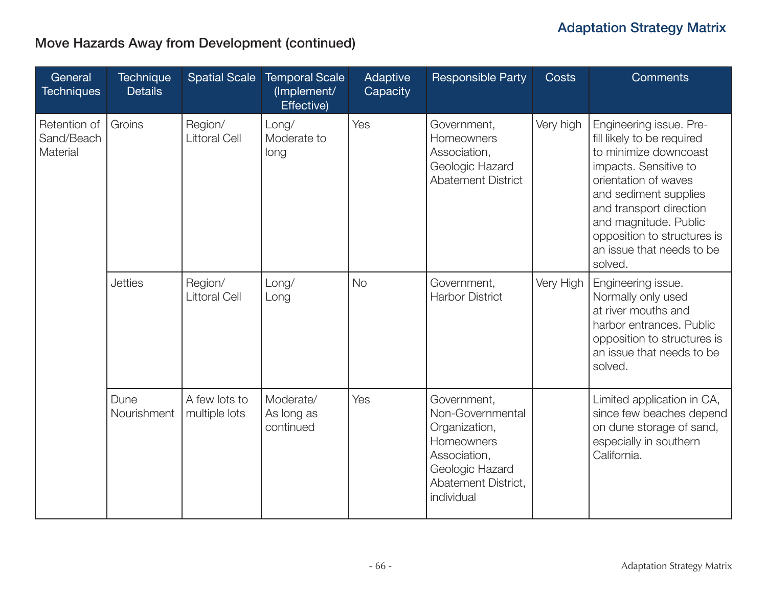| General<br><b>Techniques</b>           | <b>Technique</b><br><b>Details</b> | <b>Spatial Scale</b>            | <b>Temporal Scale</b><br>(Implement/<br>Effective) | Adaptive<br>Capacity | <b>Responsible Party</b>                                                                                                               | <b>Costs</b> | <b>Comments</b>                                                                                                                                                                                                                                                                     |
|----------------------------------------|------------------------------------|---------------------------------|----------------------------------------------------|----------------------|----------------------------------------------------------------------------------------------------------------------------------------|--------------|-------------------------------------------------------------------------------------------------------------------------------------------------------------------------------------------------------------------------------------------------------------------------------------|
| Retention of<br>Sand/Beach<br>Material | Groins                             | Region/<br><b>Littoral Cell</b> | Long/<br>Moderate to<br>long                       | Yes                  | Government,<br>Homeowners<br>Association,<br>Geologic Hazard<br><b>Abatement District</b>                                              | Very high    | Engineering issue. Pre-<br>fill likely to be required<br>to minimize downcoast<br>impacts. Sensitive to<br>orientation of waves<br>and sediment supplies<br>and transport direction<br>and magnitude. Public<br>opposition to structures is<br>an issue that needs to be<br>solved. |
|                                        | <b>Jetties</b>                     | Region/<br><b>Littoral Cell</b> | Long/<br>Long                                      | <b>No</b>            | Government,<br><b>Harbor District</b>                                                                                                  | Very High    | Engineering issue.<br>Normally only used<br>at river mouths and<br>harbor entrances. Public<br>opposition to structures is<br>an issue that needs to be<br>solved.                                                                                                                  |
|                                        | Dune<br>Nourishment                | A few lots to<br>multiple lots  | Moderate/<br>As long as<br>continued               | Yes                  | Government,<br>Non-Governmental<br>Organization,<br>Homeowners<br>Association,<br>Geologic Hazard<br>Abatement District,<br>individual |              | Limited application in CA,<br>since few beaches depend<br>on dune storage of sand,<br>especially in southern<br>California.                                                                                                                                                         |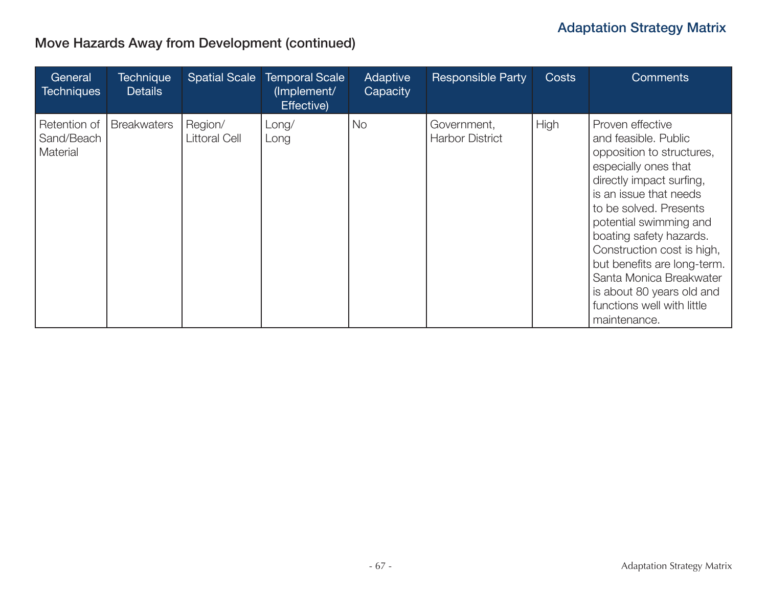| General<br><b>Techniques</b>           | <b>Technique</b><br><b>Details</b> | <b>Spatial Scale</b>            | <b>Temporal Scale</b><br>(Implement/<br>Effective) | Adaptive<br>Capacity | <b>Responsible Party</b>              | <b>Costs</b> | <b>Comments</b>                                                                                                                                                                                                                                                                                                                                                                                       |
|----------------------------------------|------------------------------------|---------------------------------|----------------------------------------------------|----------------------|---------------------------------------|--------------|-------------------------------------------------------------------------------------------------------------------------------------------------------------------------------------------------------------------------------------------------------------------------------------------------------------------------------------------------------------------------------------------------------|
| Retention of<br>Sand/Beach<br>Material | <b>Breakwaters</b>                 | Region/<br><b>Littoral Cell</b> | Long/<br>Long                                      | <b>No</b>            | Government,<br><b>Harbor District</b> | High         | Proven effective<br>and feasible, Public<br>opposition to structures,<br>especially ones that<br>directly impact surfing,<br>is an issue that needs<br>to be solved. Presents<br>potential swimming and<br>boating safety hazards.<br>Construction cost is high,<br>but benefits are long-term.<br>Santa Monica Breakwater<br>is about 80 years old and<br>functions well with little<br>maintenance. |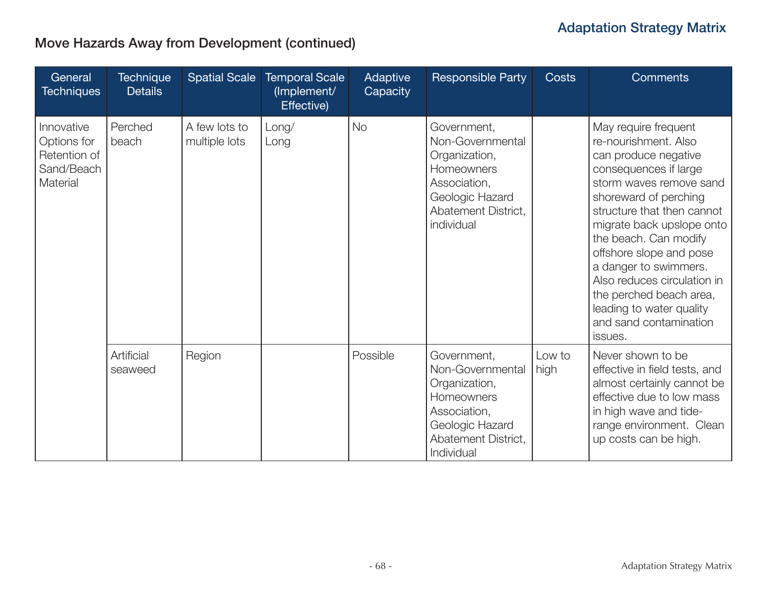| General<br><b>Techniques</b>                                        | <b>Technique</b><br><b>Details</b> | <b>Spatial Scale</b>           | <b>Temporal Scale</b><br>(Implement/<br>Effective) | Adaptive<br>Capacity | <b>Responsible Party</b>                                                                                                               | <b>Costs</b>   | <b>Comments</b>                                                                                                                                                                                                                                                                                                                                                                                                      |
|---------------------------------------------------------------------|------------------------------------|--------------------------------|----------------------------------------------------|----------------------|----------------------------------------------------------------------------------------------------------------------------------------|----------------|----------------------------------------------------------------------------------------------------------------------------------------------------------------------------------------------------------------------------------------------------------------------------------------------------------------------------------------------------------------------------------------------------------------------|
| Innovative<br>Options for<br>Retention of<br>Sand/Beach<br>Material | Perched<br>beach                   | A few lots to<br>multiple lots | Long/<br>Long                                      | <b>No</b>            | Government,<br>Non-Governmental<br>Organization,<br>Homeowners<br>Association,<br>Geologic Hazard<br>Abatement District,<br>individual |                | May require frequent<br>re-nourishment. Also<br>can produce negative<br>consequences if large<br>storm waves remove sand<br>shoreward of perching<br>structure that then cannot<br>migrate back upslope onto<br>the beach. Can modify<br>offshore slope and pose<br>a danger to swimmers.<br>Also reduces circulation in<br>the perched beach area,<br>leading to water quality<br>and sand contamination<br>issues. |
|                                                                     | Artificial<br>seaweed              | Region                         |                                                    | Possible             | Government,<br>Non-Governmental<br>Organization,<br>Homeowners<br>Association,<br>Geologic Hazard<br>Abatement District,<br>Individual | Low to<br>high | Never shown to be<br>effective in field tests, and<br>almost certainly cannot be<br>effective due to low mass<br>in high wave and tide-<br>range environment. Clean<br>up costs can be high.                                                                                                                                                                                                                         |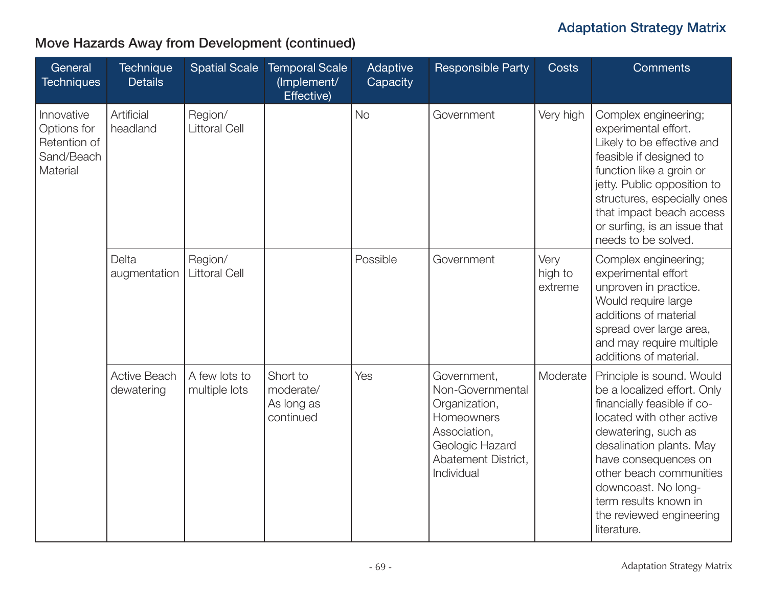| General<br><b>Techniques</b>                                        | <b>Technique</b><br><b>Details</b> | <b>Spatial Scale</b>            | <b>Temporal Scale</b><br>(Implement/<br>Effective) | Adaptive<br>Capacity | <b>Responsible Party</b>                                                                                                               | <b>Costs</b>               | <b>Comments</b>                                                                                                                                                                                                                                                                                                       |
|---------------------------------------------------------------------|------------------------------------|---------------------------------|----------------------------------------------------|----------------------|----------------------------------------------------------------------------------------------------------------------------------------|----------------------------|-----------------------------------------------------------------------------------------------------------------------------------------------------------------------------------------------------------------------------------------------------------------------------------------------------------------------|
| Innovative<br>Options for<br>Retention of<br>Sand/Beach<br>Material | Artificial<br>headland             | Region/<br><b>Littoral Cell</b> |                                                    | <b>No</b>            | Government                                                                                                                             | Very high                  | Complex engineering;<br>experimental effort.<br>Likely to be effective and<br>feasible if designed to<br>function like a groin or<br>jetty. Public opposition to<br>structures, especially ones<br>that impact beach access<br>or surfing, is an issue that<br>needs to be solved.                                    |
|                                                                     | Delta<br>augmentation              | Region/<br><b>Littoral Cell</b> |                                                    | Possible             | Government                                                                                                                             | Very<br>high to<br>extreme | Complex engineering;<br>experimental effort<br>unproven in practice.<br>Would require large<br>additions of material<br>spread over large area,<br>and may require multiple<br>additions of material.                                                                                                                 |
|                                                                     | <b>Active Beach</b><br>dewatering  | A few lots to<br>multiple lots  | Short to<br>moderate/<br>As long as<br>continued   | Yes                  | Government,<br>Non-Governmental<br>Organization,<br>Homeowners<br>Association,<br>Geologic Hazard<br>Abatement District,<br>Individual | Moderate                   | Principle is sound. Would<br>be a localized effort. Only<br>financially feasible if co-<br>located with other active<br>dewatering, such as<br>desalination plants. May<br>have consequences on<br>other beach communities<br>downcoast. No long-<br>term results known in<br>the reviewed engineering<br>literature. |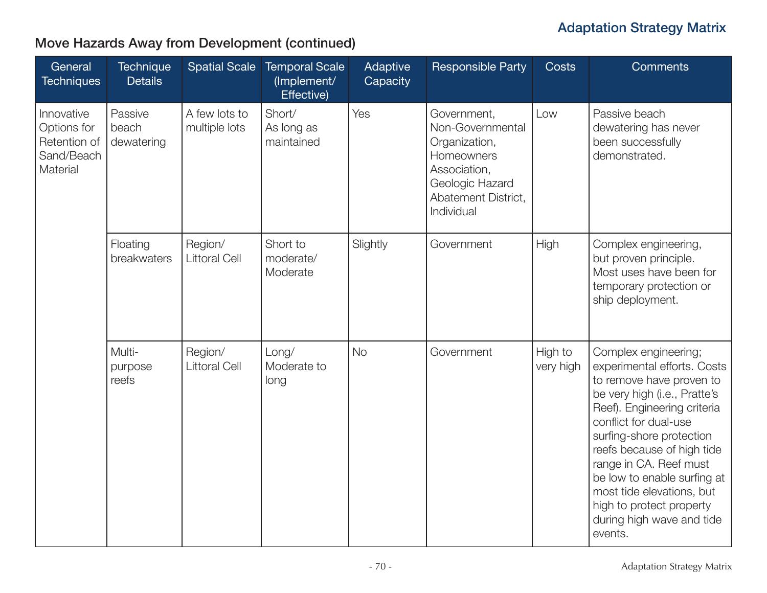| General<br><b>Techniques</b>                                        | <b>Technique</b><br><b>Details</b> | <b>Spatial Scale</b>            | <b>Temporal Scale</b><br>(Implement/<br>Effective) | Adaptive<br>Capacity | <b>Responsible Party</b>                                                                                                               | <b>Costs</b>         | <b>Comments</b>                                                                                                                                                                                                                                                                                                                                                                             |
|---------------------------------------------------------------------|------------------------------------|---------------------------------|----------------------------------------------------|----------------------|----------------------------------------------------------------------------------------------------------------------------------------|----------------------|---------------------------------------------------------------------------------------------------------------------------------------------------------------------------------------------------------------------------------------------------------------------------------------------------------------------------------------------------------------------------------------------|
| Innovative<br>Options for<br>Retention of<br>Sand/Beach<br>Material | Passive<br>beach<br>dewatering     | A few lots to<br>multiple lots  | Short/<br>As long as<br>maintained                 | Yes                  | Government,<br>Non-Governmental<br>Organization,<br>Homeowners<br>Association,<br>Geologic Hazard<br>Abatement District,<br>Individual | Low                  | Passive beach<br>dewatering has never<br>been successfully<br>demonstrated.                                                                                                                                                                                                                                                                                                                 |
|                                                                     | Floating<br>breakwaters            | Region/<br><b>Littoral Cell</b> | Short to<br>moderate/<br>Moderate                  | Slightly             | Government                                                                                                                             | High                 | Complex engineering,<br>but proven principle.<br>Most uses have been for<br>temporary protection or<br>ship deployment.                                                                                                                                                                                                                                                                     |
|                                                                     | Multi-<br>purpose<br>reefs         | Region/<br><b>Littoral Cell</b> | Long/<br>Moderate to<br>long                       | <b>No</b>            | Government                                                                                                                             | High to<br>very high | Complex engineering;<br>experimental efforts. Costs<br>to remove have proven to<br>be very high (i.e., Pratte's<br>Reef). Engineering criteria<br>conflict for dual-use<br>surfing-shore protection<br>reefs because of high tide<br>range in CA. Reef must<br>be low to enable surfing at<br>most tide elevations, but<br>high to protect property<br>during high wave and tide<br>events. |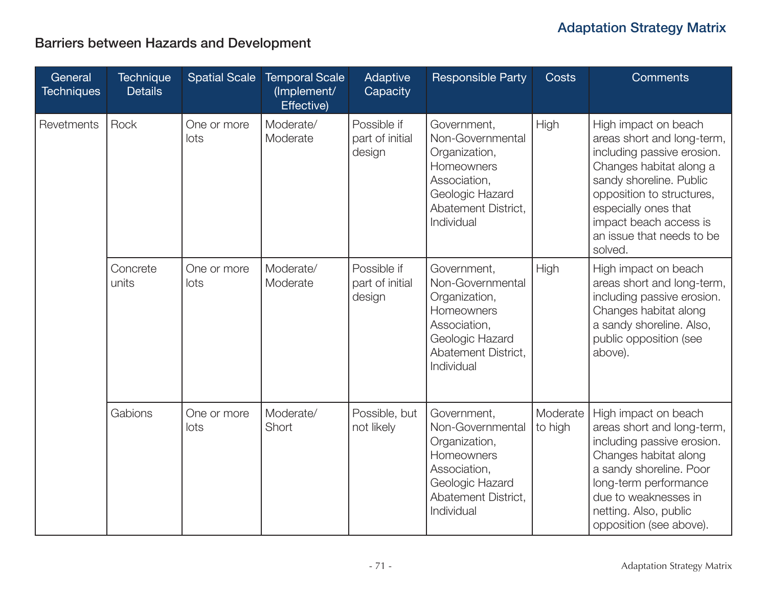## Barriers between Hazards and Development

| General<br><b>Techniques</b> | <b>Technique</b><br><b>Details</b> | <b>Spatial Scale</b> | <b>Temporal Scale</b><br>(Implement/<br>Effective) | Adaptive<br>Capacity                     | <b>Responsible Party</b>                                                                                                               | <b>Costs</b>        | <b>Comments</b>                                                                                                                                                                                                                                               |
|------------------------------|------------------------------------|----------------------|----------------------------------------------------|------------------------------------------|----------------------------------------------------------------------------------------------------------------------------------------|---------------------|---------------------------------------------------------------------------------------------------------------------------------------------------------------------------------------------------------------------------------------------------------------|
| Revetments                   | Rock                               | One or more<br>lots  | Moderate/<br>Moderate                              | Possible if<br>part of initial<br>design | Government,<br>Non-Governmental<br>Organization,<br>Homeowners<br>Association,<br>Geologic Hazard<br>Abatement District,<br>Individual | High                | High impact on beach<br>areas short and long-term,<br>including passive erosion.<br>Changes habitat along a<br>sandy shoreline. Public<br>opposition to structures,<br>especially ones that<br>impact beach access is<br>an issue that needs to be<br>solved. |
|                              | Concrete<br>units                  | One or more<br>lots  | Moderate/<br>Moderate                              | Possible if<br>part of initial<br>design | Government,<br>Non-Governmental<br>Organization,<br>Homeowners<br>Association,<br>Geologic Hazard<br>Abatement District,<br>Individual | High                | High impact on beach<br>areas short and long-term,<br>including passive erosion.<br>Changes habitat along<br>a sandy shoreline. Also,<br>public opposition (see<br>above).                                                                                    |
|                              | Gabions                            | One or more<br>lots  | Moderate/<br>Short                                 | Possible, but<br>not likely              | Government,<br>Non-Governmental<br>Organization,<br>Homeowners<br>Association,<br>Geologic Hazard<br>Abatement District,<br>Individual | Moderate<br>to high | High impact on beach<br>areas short and long-term,<br>including passive erosion.<br>Changes habitat along<br>a sandy shoreline. Poor<br>long-term performance<br>due to weaknesses in<br>netting. Also, public<br>opposition (see above).                     |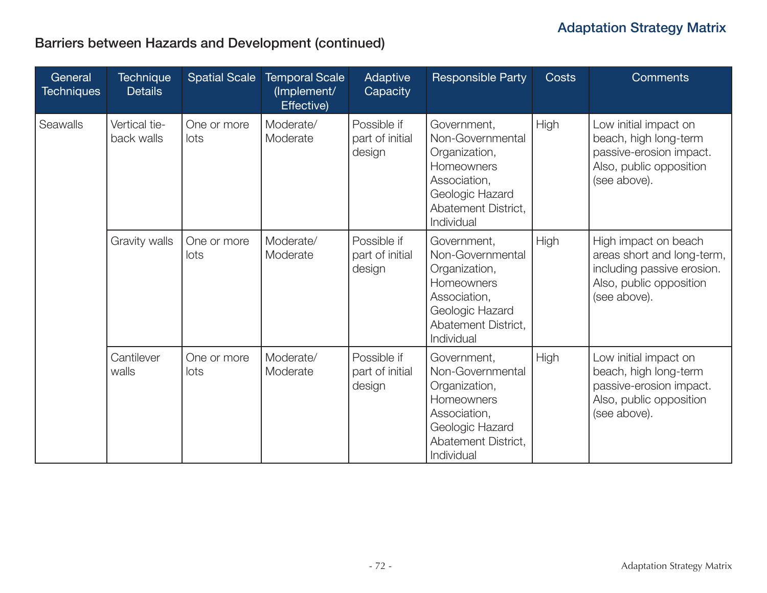## Barriers between Hazards and Development (continued)

| General<br><b>Techniques</b> | <b>Technique</b><br><b>Details</b> | <b>Spatial Scale</b> | <b>Temporal Scale</b><br>(Implement/<br>Effective) | Adaptive<br>Capacity                     | <b>Responsible Party</b>                                                                                                               | <b>Costs</b> | <b>Comments</b>                                                                                                             |
|------------------------------|------------------------------------|----------------------|----------------------------------------------------|------------------------------------------|----------------------------------------------------------------------------------------------------------------------------------------|--------------|-----------------------------------------------------------------------------------------------------------------------------|
| <b>Seawalls</b>              | Vertical tie-<br>back walls        | One or more<br>lots  | Moderate/<br>Moderate                              | Possible if<br>part of initial<br>design | Government,<br>Non-Governmental<br>Organization,<br>Homeowners<br>Association,<br>Geologic Hazard<br>Abatement District,<br>Individual | <b>High</b>  | Low initial impact on<br>beach, high long-term<br>passive-erosion impact.<br>Also, public opposition<br>(see above).        |
|                              | Gravity walls                      | One or more<br>lots  | Moderate/<br>Moderate                              | Possible if<br>part of initial<br>design | Government,<br>Non-Governmental<br>Organization,<br>Homeowners<br>Association,<br>Geologic Hazard<br>Abatement District,<br>Individual | High         | High impact on beach<br>areas short and long-term,<br>including passive erosion.<br>Also, public opposition<br>(see above). |
|                              | Cantilever<br>walls                | One or more<br>lots  | Moderate/<br>Moderate                              | Possible if<br>part of initial<br>design | Government,<br>Non-Governmental<br>Organization,<br>Homeowners<br>Association,<br>Geologic Hazard<br>Abatement District,<br>Individual | High         | Low initial impact on<br>beach, high long-term<br>passive-erosion impact.<br>Also, public opposition<br>(see above).        |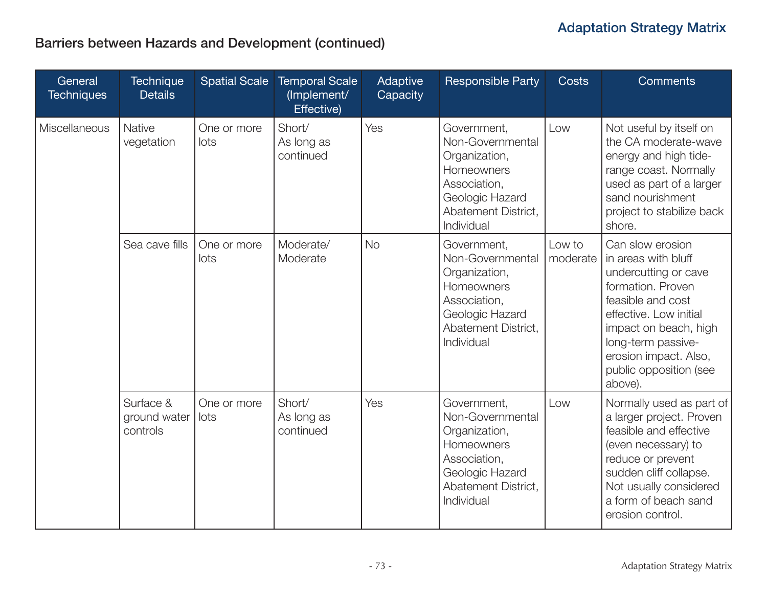# Barriers between Hazards and Development (continued)

| General<br><b>Techniques</b> | <b>Technique</b><br><b>Details</b>    | <b>Spatial Scale</b> | <b>Temporal Scale</b><br>(Implement/<br>Effective) | Adaptive<br>Capacity | <b>Responsible Party</b>                                                                                                               | Costs  | <b>Comments</b>                                                                                                                                                                                                                                             |
|------------------------------|---------------------------------------|----------------------|----------------------------------------------------|----------------------|----------------------------------------------------------------------------------------------------------------------------------------|--------|-------------------------------------------------------------------------------------------------------------------------------------------------------------------------------------------------------------------------------------------------------------|
| Miscellaneous                | <b>Native</b><br>vegetation           | One or more<br>lots  | Short/<br>As long as<br>continued                  | Yes                  | Government,<br>Non-Governmental<br>Organization,<br>Homeowners<br>Association,<br>Geologic Hazard<br>Abatement District,<br>Individual | Low    | Not useful by itself on<br>the CA moderate-wave<br>energy and high tide-<br>range coast. Normally<br>used as part of a larger<br>sand nourishment<br>project to stabilize back<br>shore.                                                                    |
|                              | Sea cave fills                        | One or more<br>lots  | Moderate/<br>Moderate                              | <b>No</b>            | Government,<br>Non-Governmental<br>Organization,<br>Homeowners<br>Association,<br>Geologic Hazard<br>Abatement District,<br>Individual | Low to | Can slow erosion<br>moderate   in areas with bluff<br>undercutting or cave<br>formation. Proven<br>feasible and cost<br>effective. Low initial<br>impact on beach, high<br>long-term passive-<br>erosion impact. Also,<br>public opposition (see<br>above). |
|                              | Surface &<br>ground water<br>controls | One or more<br>lots  | Short/<br>As long as<br>continued                  | Yes                  | Government,<br>Non-Governmental<br>Organization,<br>Homeowners<br>Association,<br>Geologic Hazard<br>Abatement District,<br>Individual | Low    | Normally used as part of<br>a larger project. Proven<br>feasible and effective<br>(even necessary) to<br>reduce or prevent<br>sudden cliff collapse.<br>Not usually considered<br>a form of beach sand<br>erosion control.                                  |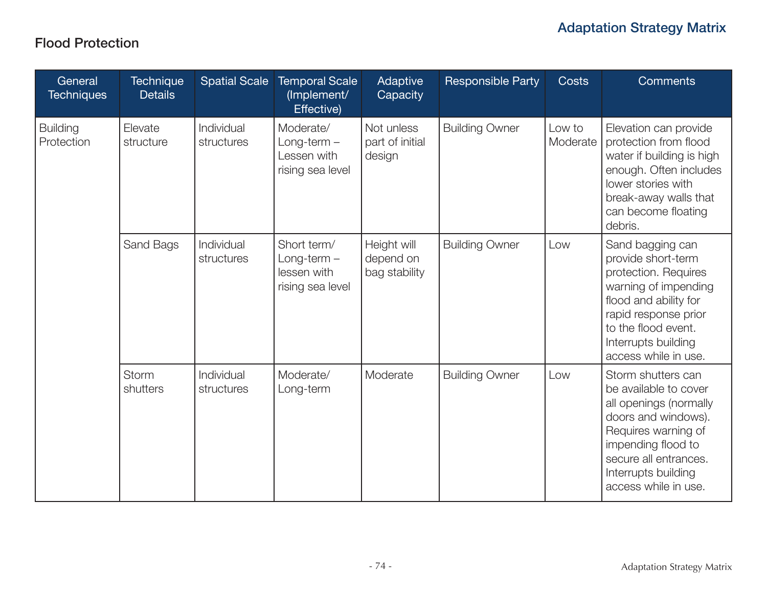#### Flood Protection

| General<br><b>Techniques</b>  | <b>Technique</b><br><b>Details</b> | <b>Spatial Scale</b>     | <b>Temporal Scale</b><br>(Implement/<br><b>Effective</b> )      | Adaptive<br>Capacity                      | <b>Responsible Party</b> | <b>Costs</b>       | <b>Comments</b>                                                                                                                                                                                                   |
|-------------------------------|------------------------------------|--------------------------|-----------------------------------------------------------------|-------------------------------------------|--------------------------|--------------------|-------------------------------------------------------------------------------------------------------------------------------------------------------------------------------------------------------------------|
| <b>Building</b><br>Protection | Elevate<br>structure               | Individual<br>structures | Moderate/<br>$Long-term -$<br>Lessen with<br>rising sea level   | Not unless<br>part of initial<br>design   | <b>Building Owner</b>    | Low to<br>Moderate | Elevation can provide<br>protection from flood<br>water if building is high<br>enough. Often includes<br>lower stories with<br>break-away walls that<br>can become floating<br>debris.                            |
|                               | Sand Bags                          | Individual<br>structures | Short term/<br>$Long-term -$<br>lessen with<br>rising sea level | Height will<br>depend on<br>bag stability | <b>Building Owner</b>    | Low                | Sand bagging can<br>provide short-term<br>protection. Requires<br>warning of impending<br>flood and ability for<br>rapid response prior<br>to the flood event.<br>Interrupts building<br>access while in use.     |
|                               | <b>Storm</b><br>shutters           | Individual<br>structures | Moderate/<br>Long-term                                          | Moderate                                  | <b>Building Owner</b>    | Low                | Storm shutters can<br>be available to cover<br>all openings (normally<br>doors and windows).<br>Requires warning of<br>impending flood to<br>secure all entrances.<br>Interrupts building<br>access while in use. |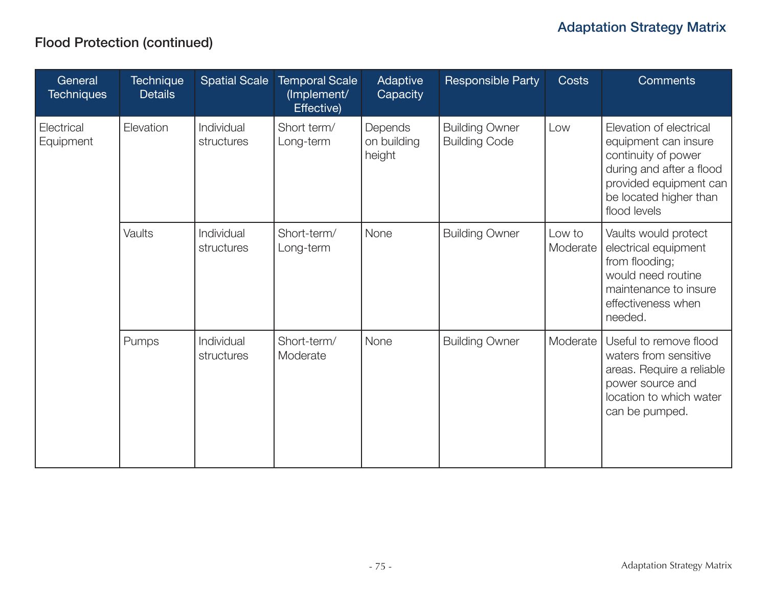## Flood Protection (continued)

| General<br><b>Techniques</b> | <b>Technique</b><br><b>Details</b> |                          | Spatial Scale   Temporal Scale<br>(Implement/<br>Effective) | Adaptive<br>Capacity             | <b>Responsible Party</b>                      | <b>Costs</b>       | <b>Comments</b>                                                                                                                                                        |
|------------------------------|------------------------------------|--------------------------|-------------------------------------------------------------|----------------------------------|-----------------------------------------------|--------------------|------------------------------------------------------------------------------------------------------------------------------------------------------------------------|
| Electrical<br>Equipment      | Elevation                          | Individual<br>structures | Short term/<br>Long-term                                    | Depends<br>on building<br>height | <b>Building Owner</b><br><b>Building Code</b> | Low                | Elevation of electrical<br>equipment can insure<br>continuity of power<br>during and after a flood<br>provided equipment can<br>be located higher than<br>flood levels |
|                              | Vaults                             | Individual<br>structures | Short-term/<br>Long-term                                    | None                             | <b>Building Owner</b>                         | Low to<br>Moderate | Vaults would protect<br>electrical equipment<br>from flooding;<br>would need routine<br>maintenance to insure<br>effectiveness when<br>needed.                         |
|                              | Pumps                              | Individual<br>structures | Short-term/<br>Moderate                                     | None                             | <b>Building Owner</b>                         | Moderate           | Useful to remove flood<br>waters from sensitive<br>areas. Require a reliable<br>power source and<br>location to which water<br>can be pumped.                          |